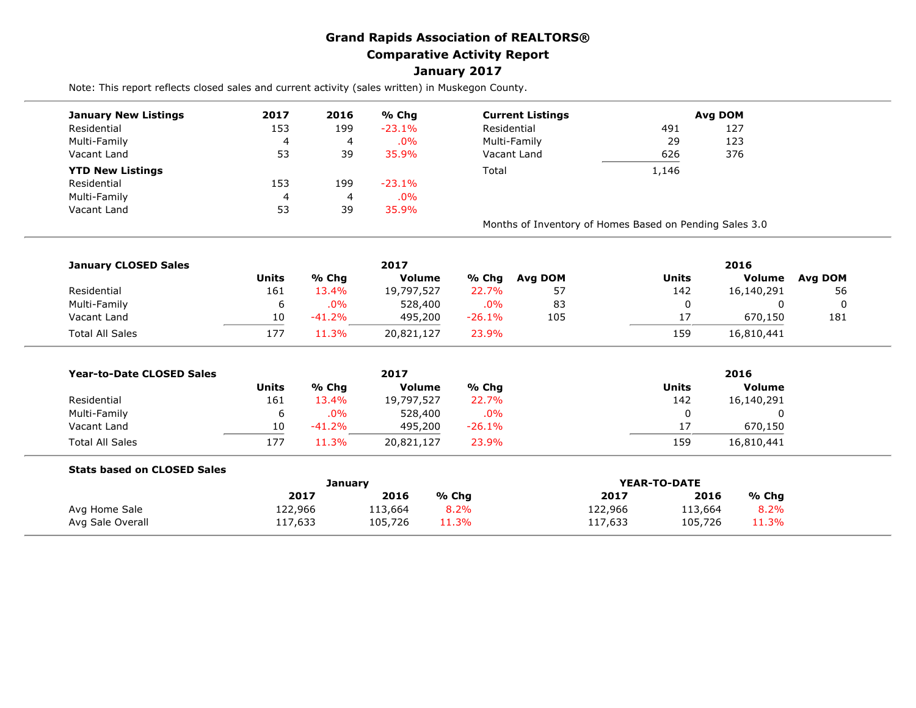## **Grand Rapids Association of REALTORS® Comparative Activity Report January 2017**

Note: This report reflects closed sales and current activity (sales written) in Muskegon County.

| <b>January New Listings</b> | 2017 | 2016 | % Chg     | <b>Current Listings</b>                                 |       | Avg DOM |
|-----------------------------|------|------|-----------|---------------------------------------------------------|-------|---------|
| Residential                 | 153  | 199  | $-23.1\%$ | Residential                                             | 491   | 127     |
| Multi-Family                | 4    | 4    | $.0\%$    | Multi-Family<br>29<br>626<br>Vacant Land                |       | 123     |
| Vacant Land                 | 53   | 39   | 35.9%     |                                                         |       | 376     |
| <b>YTD New Listings</b>     |      |      |           | Total                                                   | 1,146 |         |
| Residential                 | 153  | 199  | $-23.1%$  |                                                         |       |         |
| Multi-Family                | 4    | 4    | $.0\%$    |                                                         |       |         |
| Vacant Land                 | 53   | 39   | 35.9%     |                                                         |       |         |
|                             |      |      |           | Months of Inventory of Homes Based on Pending Sales 3.0 |       |         |

| <b>January CLOSED Sales</b> |              |          | 2017          |          |                | 2016  |            |         |
|-----------------------------|--------------|----------|---------------|----------|----------------|-------|------------|---------|
|                             | <b>Units</b> | % Chq    | <b>Volume</b> | % Chg    | <b>Avg DOM</b> | Units | Volume     | Avg DOM |
| Residential                 | 161          | 13.4%    | 19,797,527    | 22.7%    | 57             | 142   | 16,140,291 | 56      |
| Multi-Family                | ь            | $.0\%$   | 528,400       | $.0\%$   | 83             |       |            |         |
| Vacant Land                 | 10           | $-41.2%$ | 495,200       | $-26.1%$ | 105            | 17    | 670,150    | 181     |
| <b>Total All Sales</b>      | 177          | 1.3%     | 20,821,127    | 23.9%    |                | 159   | 16,810,441 |         |

| <b>Year-to-Date CLOSED Sales</b> |       |        | 2017          |          | 2016  |               |  |  |
|----------------------------------|-------|--------|---------------|----------|-------|---------------|--|--|
|                                  | Units | % Chg  | <b>Volume</b> | % Chg    | Units | <b>Volume</b> |  |  |
| Residential                      | 161   | 13.4%  | 19,797,527    | 22.7%    | 142   | 16,140,291    |  |  |
| Multi-Family                     | ь     | $.0\%$ | 528,400       | $.0\%$   |       |               |  |  |
| Vacant Land                      | 10    | -41.2% | 495,200       | $-26.1%$ |       | 670,150       |  |  |
| <b>Total All Sales</b>           | 177   | 1.3%   | 20,821,127    | 23.9%    | 159   | 16,810,441    |  |  |

| 2017    | 2016    | % Chg   | 2017    | 2016    | % Chg        |
|---------|---------|---------|---------|---------|--------------|
| 122,966 | 113,664 | 8.2%    | 122,966 | 113,664 | 8.2%         |
| 117,633 | 105,726 | 11.3%   | 117,633 | 105,726 | 11.3%        |
|         |         | January |         |         | YEAR-TO-DATE |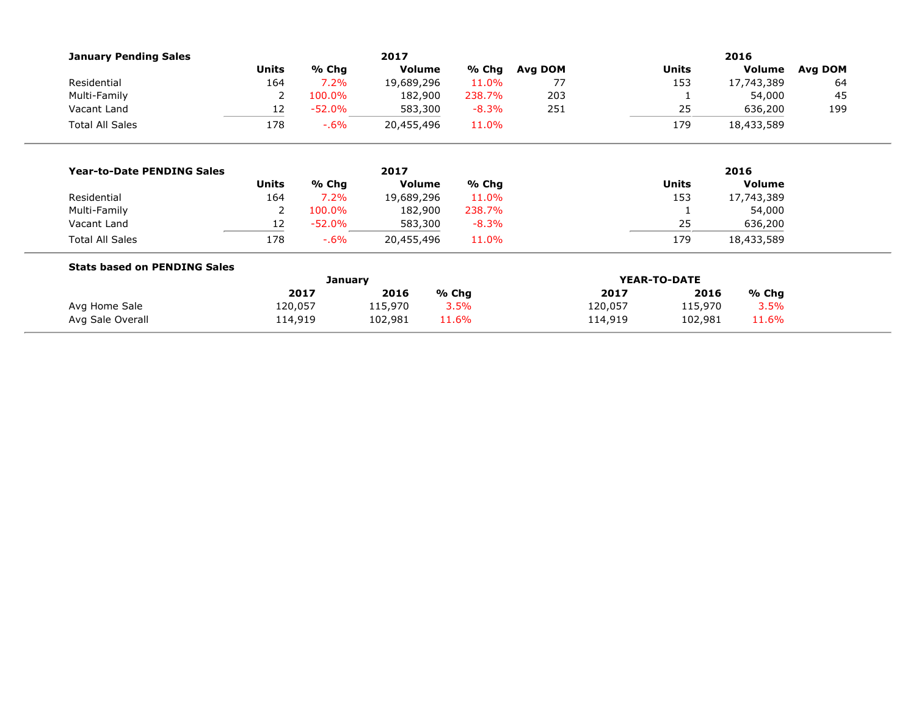| <b>January Pending Sales</b>        |              |                | 2017          |         | 2016         |         |              |               |         |
|-------------------------------------|--------------|----------------|---------------|---------|--------------|---------|--------------|---------------|---------|
|                                     | <b>Units</b> | % Chg          | <b>Volume</b> | % Chg   | Avg DOM      |         | <b>Units</b> | Volume        | Avg DOM |
| Residential                         | 164          | 7.2%           | 19,689,296    | 11.0%   | 77           |         | 153          | 17,743,389    | 64      |
| Multi-Family                        | 2            | 100.0%         | 182,900       | 238.7%  | 203          |         |              | 54,000        | 45      |
| Vacant Land                         | 12           | $-52.0%$       | 583,300       | $-8.3%$ | 251          |         | 25           | 636,200       | 199     |
| <b>Total All Sales</b>              | 178          | $-0.6\%$       | 20,455,496    | 11.0%   |              |         | 179          | 18,433,589    |         |
|                                     |              |                |               |         |              |         |              |               |         |
| <b>Year-to-Date PENDING Sales</b>   |              |                | 2017          |         |              |         |              | 2016          |         |
|                                     | <b>Units</b> | % Chg          | <b>Volume</b> | % Chg   |              |         | <b>Units</b> | <b>Volume</b> |         |
| Residential                         | 164          | 7.2%           | 19,689,296    | 11.0%   |              |         | 153          | 17,743,389    |         |
| Multi-Family                        | 2            | 100.0%         | 182,900       | 238.7%  |              |         |              | 54,000        |         |
| Vacant Land                         | 12           | $-52.0%$       | 583,300       | $-8.3%$ |              |         | 25           | 636,200       |         |
| <b>Total All Sales</b>              | 178          | $-0.6\%$       | 20,455,496    | 11.0%   |              |         | 179          | 18,433,589    |         |
| <b>Stats based on PENDING Sales</b> |              |                |               |         |              |         |              |               |         |
|                                     |              | <b>January</b> |               |         | YEAR-TO-DATE |         |              |               |         |
|                                     |              | 2017           | 2016          | % Chg   |              | 2017    | 2016         | % Chg         |         |
| Avg Home Sale                       | 120,057      |                | 115,970       | 3.5%    |              | 120,057 | 115,970      | 3.5%          |         |
| Avg Sale Overall                    | 114,919      |                | 102,981       | 11.6%   |              | 114,919 | 102,981      | 11.6%         |         |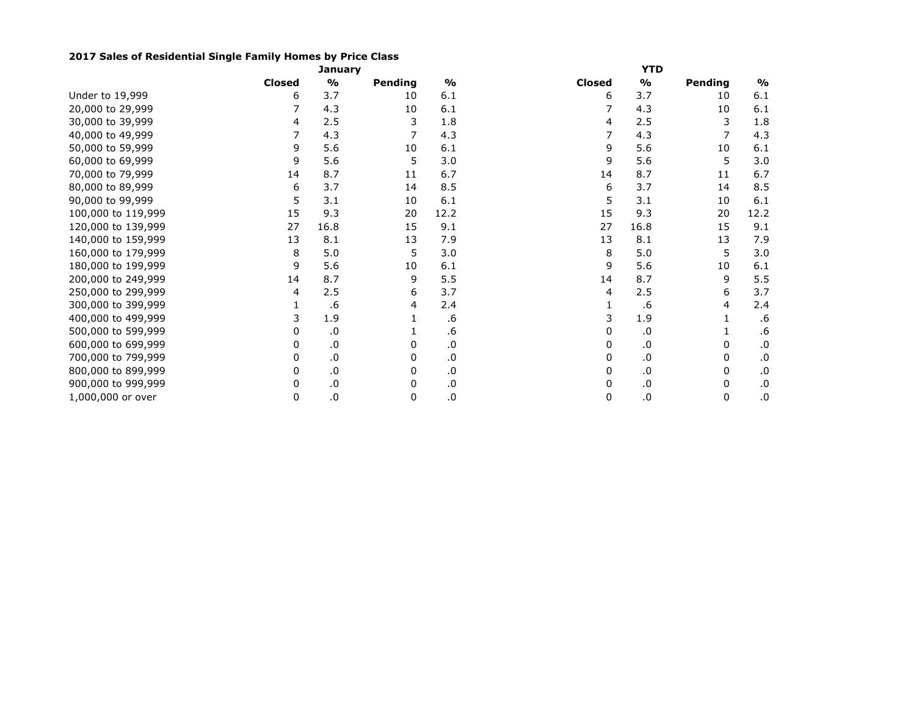## **2017 Sales of Residential Single Family Homes by Price Class**

|                    |               | <b>January</b> |         |               |               | <b>YTD</b>    |         |               |
|--------------------|---------------|----------------|---------|---------------|---------------|---------------|---------|---------------|
|                    | <b>Closed</b> | $\frac{9}{0}$  | Pending | $\frac{1}{2}$ | <b>Closed</b> | $\frac{1}{2}$ | Pending | $\frac{1}{2}$ |
| Under to 19,999    | 6             | 3.7            | 10      | 6.1           | 6             | 3.7           | 10      | 6.1           |
| 20,000 to 29,999   |               | 4.3            | 10      | 6.1           |               | 4.3           | 10      | 6.1           |
| 30,000 to 39,999   | 4             | 2.5            | 3       | 1.8           | 4             | 2.5           | 3       | 1.8           |
| 40,000 to 49,999   |               | 4.3            |         | 4.3           |               | 4.3           |         | 4.3           |
| 50,000 to 59,999   | 9             | 5.6            | 10      | 6.1           | 9             | 5.6           | 10      | 6.1           |
| 60,000 to 69,999   | 9             | 5.6            | 5       | 3.0           | 9             | 5.6           | 5       | 3.0           |
| 70,000 to 79,999   | 14            | 8.7            | 11      | 6.7           | 14            | 8.7           | 11      | 6.7           |
| 80,000 to 89,999   | 6             | 3.7            | 14      | 8.5           | 6             | 3.7           | 14      | 8.5           |
| 90,000 to 99,999   | 5             | 3.1            | 10      | 6.1           | 5             | 3.1           | 10      | $6.1$         |
| 100,000 to 119,999 | 15            | 9.3            | 20      | 12.2          | 15            | 9.3           | 20      | 12.2          |
| 120,000 to 139,999 | 27            | 16.8           | 15      | 9.1           | 27            | 16.8          | 15      | 9.1           |
| 140,000 to 159,999 | 13            | 8.1            | 13      | 7.9           | 13            | 8.1           | 13      | 7.9           |
| 160,000 to 179,999 | 8             | 5.0            | 5       | 3.0           | 8             | 5.0           | 5       | 3.0           |
| 180,000 to 199,999 | 9             | 5.6            | 10      | 6.1           | 9             | 5.6           | 10      | 6.1           |
| 200,000 to 249,999 | 14            | 8.7            | 9       | 5.5           | 14            | 8.7           | 9       | 5.5           |
| 250,000 to 299,999 | 4             | 2.5            | 6       | 3.7           | 4             | 2.5           | 6       | 3.7           |
| 300,000 to 399,999 |               | .6             | 4       | 2.4           |               | .6            | 4       | 2.4           |
| 400,000 to 499,999 | 3             | 1.9            |         | .6            | 3             | 1.9           |         | .6            |
| 500,000 to 599,999 | 0             | .0             |         | .6            | 0             | .0            |         | .6            |
| 600,000 to 699,999 | 0             | .0             | 0       | $\cdot$ 0     | 0             | .0            | 0       | .0            |
| 700,000 to 799,999 | 0             | .0             | 0       | .0            | 0             | .0            | 0       | .0            |
| 800,000 to 899,999 | 0             | $\cdot$ 0      | 0       | .0            | 0             | .0            | 0       | 0.            |
| 900,000 to 999,999 | 0             | .0             | 0       | $\cdot$ 0     | 0             | .0            | 0       | .0            |
| 1,000,000 or over  | 0             | $\cdot 0$      | 0       | .0            | 0             | .0            | 0       | .0            |